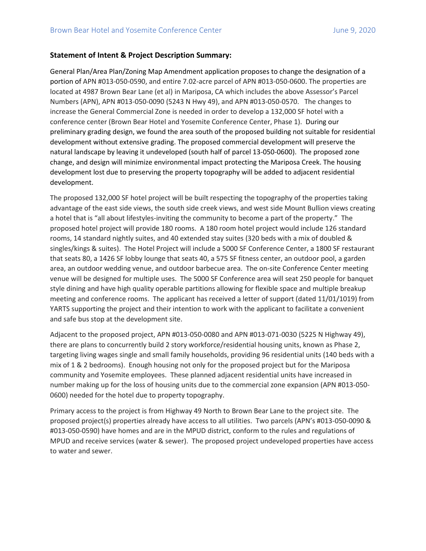## **Statement of Intent & Project Description Summary:**

General Plan/Area Plan/Zoning Map Amendment application proposes to change the designation of a portion of APN #013-050-0590, and entire 7.02-acre parcel of APN #013-050-0600. The properties are located at 4987 Brown Bear Lane (et al) in Mariposa, CA which includes the above Assessor's Parcel Numbers (APN), APN #013-050-0090 (5243 N Hwy 49), and APN #013-050-0570. The changes to increase the General Commercial Zone is needed in order to develop a 132,000 SF hotel with a conference center (Brown Bear Hotel and Yosemite Conference Center, Phase 1). During our preliminary grading design, we found the area south of the proposed building not suitable for residential development without extensive grading. The proposed commercial development will preserve the natural landscape by leaving it undeveloped (south half of parcel 13-050-0600). The proposed zone change, and design will minimize environmental impact protecting the Mariposa Creek. The housing development lost due to preserving the property topography will be added to adjacent residential development.

The proposed 132,000 SF hotel project will be built respecting the topography of the properties taking advantage of the east side views, the south side creek views, and west side Mount Bullion views creating a hotel that is "all about lifestyles-inviting the community to become a part of the property." The proposed hotel project will provide 180 rooms. A 180 room hotel project would include 126 standard rooms, 14 standard nightly suites, and 40 extended stay suites (320 beds with a mix of doubled & singles/kings & suites). The Hotel Project will include a 5000 SF Conference Center, a 1800 SF restaurant that seats 80, a 1426 SF lobby lounge that seats 40, a 575 SF fitness center, an outdoor pool, a garden area, an outdoor wedding venue, and outdoor barbecue area. The on-site Conference Center meeting venue will be designed for multiple uses. The 5000 SF Conference area will seat 250 people for banquet style dining and have high quality operable partitions allowing for flexible space and multiple breakup meeting and conference rooms. The applicant has received a letter of support (dated 11/01/1019) from YARTS supporting the project and their intention to work with the applicant to facilitate a convenient and safe bus stop at the development site.

Adjacent to the proposed project, APN #013-050-0080 and APN #013-071-0030 (5225 N Highway 49), there are plans to concurrently build 2 story workforce/residential housing units, known as Phase 2, targeting living wages single and small family households, providing 96 residential units (140 beds with a mix of 1 & 2 bedrooms). Enough housing not only for the proposed project but for the Mariposa community and Yosemite employees. These planned adjacent residential units have increased in number making up for the loss of housing units due to the commercial zone expansion (APN #013-050- 0600) needed for the hotel due to property topography.

Primary access to the project is from Highway 49 North to Brown Bear Lane to the project site. The proposed project(s) properties already have access to all utilities. Two parcels (APN's #013-050-0090 & #013-050-0590) have homes and are in the MPUD district, conform to the rules and regulations of MPUD and receive services (water & sewer). The proposed project undeveloped properties have access to water and sewer.